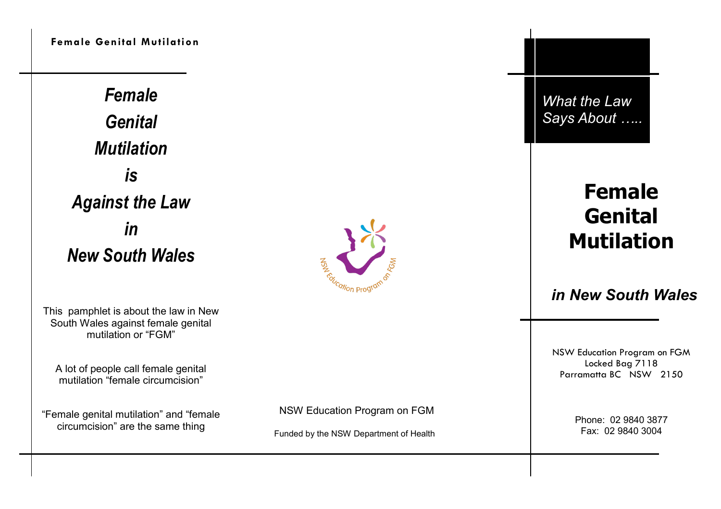**Female Genital Mutilation**

*Female Genital Mutilation is Against the Law in New South Wales*

This pamphlet is about the law in New South Wales against female genital mutilation or "FGM"

A lot of people call female genital mutilation "female circumcision"

"Female genital mutilation" and "female circumcision" are the same thing



NSW Education Program on FGM

Funded by the NSW Department of Health

*What the Law Says About …..*

# **Female Genital Mutilation**

# *in New South Wales*

NSW Education Program on FGM Locked Bag 7118 Parramatta BC NSW 2150

> Phone: 02 9840 3877 Fax: 02 9840 3004